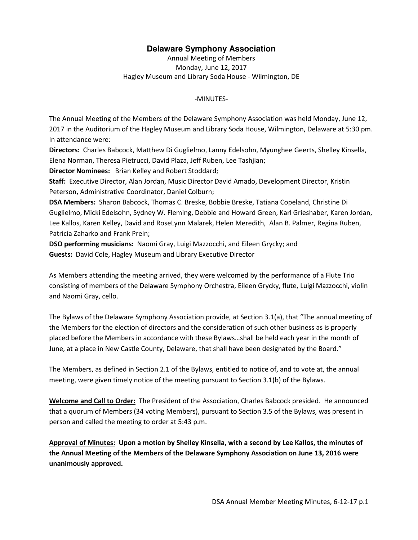## **Delaware Symphony Association**

Annual Meeting of Members Monday, June 12, 2017 Hagley Museum and Library Soda House - Wilmington, DE

## -MINUTES-

The Annual Meeting of the Members of the Delaware Symphony Association was held Monday, June 12, 2017 in the Auditorium of the Hagley Museum and Library Soda House, Wilmington, Delaware at 5:30 pm. In attendance were:

**Directors:** Charles Babcock, Matthew Di Guglielmo, Lanny Edelsohn, Myunghee Geerts, Shelley Kinsella, Elena Norman, Theresa Pietrucci, David Plaza, Jeff Ruben, Lee Tashjian;

**Director Nominees:** Brian Kelley and Robert Stoddard;

**Staff:** Executive Director, Alan Jordan, Music Director David Amado, Development Director, Kristin Peterson, Administrative Coordinator, Daniel Colburn;

**DSA Members:** Sharon Babcock, Thomas C. Breske, Bobbie Breske, Tatiana Copeland, Christine Di Guglielmo, Micki Edelsohn, Sydney W. Fleming, Debbie and Howard Green, Karl Grieshaber, Karen Jordan, Lee Kallos, Karen Kelley, David and RoseLynn Malarek, Helen Meredith, Alan B. Palmer, Regina Ruben, Patricia Zaharko and Frank Prein;

**DSO performing musicians:** Naomi Gray, Luigi Mazzocchi, and Eileen Grycky; and **Guests:** David Cole, Hagley Museum and Library Executive Director

As Members attending the meeting arrived, they were welcomed by the performance of a Flute Trio consisting of members of the Delaware Symphony Orchestra, Eileen Grycky, flute, Luigi Mazzocchi, violin and Naomi Gray, cello.

The Bylaws of the Delaware Symphony Association provide, at Section 3.1(a), that "The annual meeting of the Members for the election of directors and the consideration of such other business as is properly placed before the Members in accordance with these Bylaws…shall be held each year in the month of June, at a place in New Castle County, Delaware, that shall have been designated by the Board."

The Members, as defined in Section 2.1 of the Bylaws, entitled to notice of, and to vote at, the annual meeting, were given timely notice of the meeting pursuant to Section 3.1(b) of the Bylaws.

**Welcome and Call to Order:** The President of the Association, Charles Babcock presided. He announced that a quorum of Members (34 voting Members), pursuant to Section 3.5 of the Bylaws, was present in person and called the meeting to order at 5:43 p.m.

**Approval of Minutes: Upon a motion by Shelley Kinsella, with a second by Lee Kallos, the minutes of the Annual Meeting of the Members of the Delaware Symphony Association on June 13, 2016 were unanimously approved.**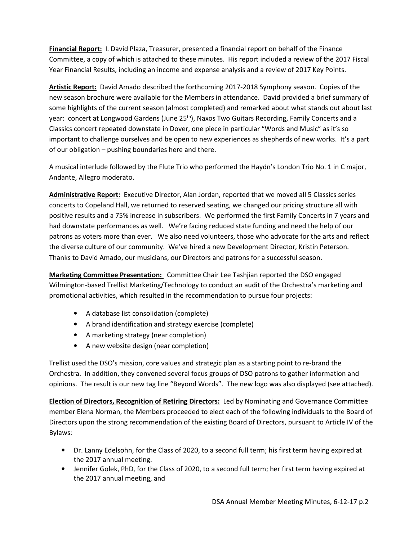**Financial Report:** I. David Plaza, Treasurer, presented a financial report on behalf of the Finance Committee, a copy of which is attached to these minutes. His report included a review of the 2017 Fiscal Year Financial Results, including an income and expense analysis and a review of 2017 Key Points.

**Artistic Report:** David Amado described the forthcoming 2017-2018 Symphony season. Copies of the new season brochure were available for the Members in attendance. David provided a brief summary of some highlights of the current season (almost completed) and remarked about what stands out about last year: concert at Longwood Gardens (June 25<sup>th</sup>), Naxos Two Guitars Recording, Family Concerts and a Classics concert repeated downstate in Dover, one piece in particular "Words and Music" as it's so important to challenge ourselves and be open to new experiences as shepherds of new works. It's a part of our obligation – pushing boundaries here and there.

A musical interlude followed by the Flute Trio who performed the Haydn's London Trio No. 1 in C major, Andante, Allegro moderato.

**Administrative Report:** Executive Director, Alan Jordan, reported that we moved all 5 Classics series concerts to Copeland Hall, we returned to reserved seating, we changed our pricing structure all with positive results and a 75% increase in subscribers. We performed the first Family Concerts in 7 years and had downstate performances as well. We're facing reduced state funding and need the help of our patrons as voters more than ever. We also need volunteers, those who advocate for the arts and reflect the diverse culture of our community. We've hired a new Development Director, Kristin Peterson. Thanks to David Amado, our musicians, our Directors and patrons for a successful season.

**Marketing Committee Presentation:** Committee Chair Lee Tashjian reported the DSO engaged Wilmington-based Trellist Marketing/Technology to conduct an audit of the Orchestra's marketing and promotional activities, which resulted in the recommendation to pursue four projects:

- A database list consolidation (complete)
- A brand identification and strategy exercise (complete)
- A marketing strategy (near completion)
- A new website design (near completion)

Trellist used the DSO's mission, core values and strategic plan as a starting point to re-brand the Orchestra. In addition, they convened several focus groups of DSO patrons to gather information and opinions. The result is our new tag line "Beyond Words". The new logo was also displayed (see attached).

**Election of Directors, Recognition of Retiring Directors:** Led by Nominating and Governance Committee member Elena Norman, the Members proceeded to elect each of the following individuals to the Board of Directors upon the strong recommendation of the existing Board of Directors, pursuant to Article IV of the Bylaws:

- Dr. Lanny Edelsohn, for the Class of 2020, to a second full term; his first term having expired at the 2017 annual meeting.
- Jennifer Golek, PhD, for the Class of 2020, to a second full term; her first term having expired at the 2017 annual meeting, and